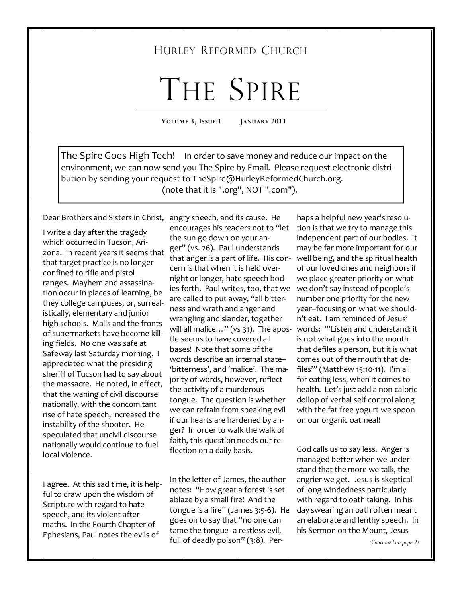# HURLEY REFORMED CHURCH

# THE SPIRE

**VOLUME 3, ISSUE 1 JANUARY 2011** 

The Spire Goes High Tech! In order to save money and reduce our impact on the environment, we can now send you The Spire by Email. Please request electronic distribution by sending your request to TheSpire@HurleyReformedChurch.org. (note that it is ".org", NOT ".com").

Dear Brothers and Sisters in Christ, angry speech, and its cause. He

I write a day after the tragedy which occurred in Tucson, Arizona. In recent years it seems that that target practice is no longer confined to rifle and pistol ranges. Mayhem and assassination occur in places of learning, be they college campuses, or, surrealistically, elementary and junior high schools. Malls and the fronts of supermarkets have become killing fields. No one was safe at Safeway last Saturday morning. I appreciated what the presiding sheriff of Tucson had to say about the massacre. He noted, in effect, that the waning of civil discourse nationally, with the concomitant rise of hate speech, increased the instability of the shooter. He speculated that uncivil discourse nationally would continue to fuel local violence.

I agree. At this sad time, it is helpful to draw upon the wisdom of Scripture with regard to hate speech, and its violent aftermaths. In the Fourth Chapter of Ephesians, Paul notes the evils of

encourages his readers not to "let the sun go down on your anger" (vs. 26). Paul understands that anger is a part of life. His concern is that when it is held overnight or longer, hate speech bodies forth. Paul writes, too, that we are called to put away, "all bitterness and wrath and anger and wrangling and slander, together tle seems to have covered all bases! Note that some of the words describe an internal state--'bitterness', and 'malice'. The majority of words, however, reflect the activity of a murderous tongue. The question is whether we can refrain from speaking evil if our hearts are hardened by anger? In order to walk the walk of faith, this question needs our reflection on a daily basis.

In the letter of James, the author notes: "How great a forest is set ablaze by a small fire! And the tongue is a fire" (James 3:5-6). He goes on to say that "no one can tame the tongue--a restless evil, full of deadly poison" (3:8). Per-

will all malice…" (vs 31). The apos-words: "'Listen and understand: it haps a helpful new year's resolution is that we try to manage this independent part of our bodies. It may be far more important for our well being, and the spiritual health of our loved ones and neighbors if we place greater priority on what we don't say instead of people's number one priority for the new year--focusing on what we shouldn't eat. I am reminded of Jesus' is not what goes into the mouth that defiles a person, but it is what comes out of the mouth that defiles'" (Matthew 15:10-11). I'm all for eating less, when it comes to health. Let's just add a non-caloric dollop of verbal self control along with the fat free yogurt we spoon on our organic oatmeal!

> God calls us to say less. Anger is managed better when we understand that the more we talk, the angrier we get. Jesus is skeptical of long windedness particularly with regard to oath taking. In his day swearing an oath often meant an elaborate and lenthy speech. In his Sermon on the Mount, Jesus

> > *(Continued on page 2)*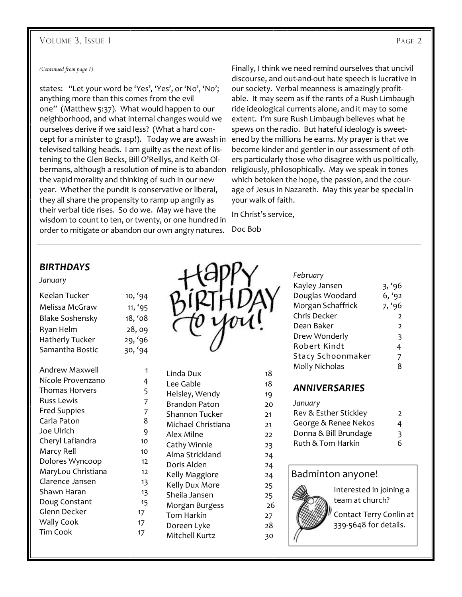#### VOLUME 3, ISSUE 1 PAGE 2

#### *(Continued from page 1)*

states: "Let your word be 'Yes', 'Yes', or 'No', 'No'; anything more than this comes from the evil one" (Matthew 5:37). What would happen to our neighborhood, and what internal changes would we ourselves derive if we said less? (What a hard concept for a minister to grasp!). Today we are awash in televised talking heads. I am guilty as the next of listening to the Glen Becks, Bill O'Reillys, and Keith Olbermans, although a resolution of mine is to abandon religiously, philosophically. May we speak in tones the vapid morality and thinking of such in our new year. Whether the pundit is conservative or liberal, they all share the propensity to ramp up angrily as their verbal tide rises. So do we. May we have the wisdom to count to ten, or twenty, or one hundred in order to mitigate or abandon our own angry natures.

Finally, I think we need remind ourselves that uncivil discourse, and out-and-out hate speech is lucrative in our society. Verbal meanness is amazingly profitable. It may seem as if the rants of a Rush Limbaugh ride ideological currents alone, and it may to some extent. I'm sure Rush Limbaugh believes what he spews on the radio. But hateful ideology is sweetened by the millions he earns. My prayer is that we become kinder and gentler in our assessment of others particularly those who disagree with us politically, which betoken the hope, the passion, and the courage of Jesus in Nazareth. May this year be special in your walk of faith.

In Christ's service,

Doc Bob

### *BIRTHDAYS*

#### *January*

| Keelan Tucker          | 10, '94 |
|------------------------|---------|
| Melissa McGraw         | 11, '95 |
| <b>Blake Soshensky</b> | 18, '08 |
| Ryan Helm              | 28,09   |
| Hatherly Tucker        | 29, '96 |
| Samantha Bostic        | 30, '94 |
|                        |         |

| Andrew Maxwell      | 1              |
|---------------------|----------------|
| Nicole Provenzano   | 4              |
| Thomas Horvers      | 5              |
| Russ Lewis          | $\overline{7}$ |
| <b>Fred Suppies</b> | 7              |
| Carla Paton         | 8              |
| Joe Ulrich          | 9              |
| Cheryl Lafiandra    | 10             |
| Marcy Rell          | 10             |
| Dolores Wyncoop     | 12             |
| MaryLou Christiana  | 12             |
| Clarence Jansen     | 13             |
| Shawn Haran         | 13             |
| Doug Constant       | 15             |
| Glenn Decker        | 17             |
| <b>Wally Cook</b>   | 17             |
| <b>Tim Cook</b>     | 17             |
|                     |                |



| Linda Dux            | 18 |
|----------------------|----|
| Lee Gable            | 18 |
| Helsley, Wendy       | 19 |
| <b>Brandon Paton</b> | 20 |
| Shannon Tucker       | 21 |
| Michael Christiana   | 21 |
| Alex Milne           | 22 |
| Cathy Winnie         | 23 |
| Alma Strickland      | 24 |
| Doris Alden          | 24 |
| Kelly Maggiore       | 24 |
| Kelly Dux More       | 25 |
| Sheila Jansen        | 25 |
| Morgan Burgess       | 26 |
| Tom Harkin           | 27 |
| Doreen Lyke          | 28 |
| Mitchell Kurtz       | 30 |
|                      |    |

| February              |                |
|-----------------------|----------------|
| Kayley Jansen         | 3, '96         |
| Douglas Woodard       | 6, '92         |
| Morgan Schaffrick     | 7, '96         |
| Chris Decker          | $\overline{2}$ |
| Dean Baker            | 2              |
| Drew Wonderly         | 3              |
| Robert Kindt          | 4              |
| Stacy Schoonmaker     | 7              |
| Molly Nicholas        | 8              |
|                       |                |
| <b>ANNIVERSARIES</b>  |                |
| January               |                |
| Rev & Esther Stickley | 2              |
| George & Renee Nekos  | 4              |

- George & Renee Nekos 4 Donna & Bill Brundage 3
- Ruth & Tom Harkin 6

## Badminton anyone!



Interested in joining a team at church? Contact Terry Conlin at 339-5648 for details.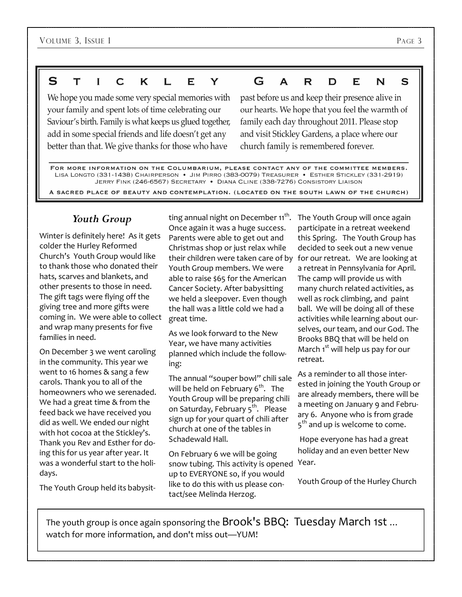#### S G K Т C  $\mathbf{I}$ . Е Y A R D F. N C

We hope you made some very special memories with your family and spent lots of time celebrating our Saviour's birth. Family is what keeps us glued together, add in some special friends and life doesn't get any better than that. We give thanks for those who have

past before us and keep their presence alive in our hearts. We hope that you feel the warmth of family each day throughout 2011. Please stop and visit Stickley Gardens, a place where our church family is remembered forever.

FOR MORE INFORMATION ON THE COLUMBARIUM, PLEASE CONTACT ANY OF THE COMMITTEE MEMBERS. LISA LONGTO (331-1438) CHAIRPERSON . JIM PIRRO (383-0079) TREASURER . ESTHER STICKLEY (331-2919) JERRY FINK (246-6567) SECRETARY . DIANA CLINE (338-7276) CONSISTORY LIAISON

A SACRED PLACE OF BEAUTY AND CONTEMPLATION. (LOCATED ON THE SOUTH LAWN OF THE CHURCH)

# *Youth Group*

Winter is definitely here! As it gets colder the Hurley Reformed Church's Youth Group would like to thank those who donated their hats, scarves and blankets, and other presents to those in need. The gift tags were flying off the giving tree and more gifts were coming in. We were able to collect and wrap many presents for five families in need.

On December 3 we went caroling in the community. This year we went to 16 homes & sang a few carols. Thank you to all of the homeowners who we serenaded. We had a great time & from the feed back we have received you did as well. We ended our night with hot cocoa at the Stickley's. Thank you Rev and Esther for doing this for us year after year. It was a wonderful start to the holidays.

The Youth Group held its babysit-

ting annual night on December 11 $^{\rm th}$ . Once again it was a huge success. Parents were able to get out and Christmas shop or just relax while their children were taken care of by for our retreat. We are looking at Youth Group members. We were able to raise \$65 for the American Cancer Society. After babysitting we held a sleepover. Even though the hall was a little cold we had a great time.

As we look forward to the New Year, we have many activities planned which include the following:

The annual "souper bowl" chili sale will be held on February  $6<sup>th</sup>$ . The Youth Group will be preparing chili on Saturday, February 5<sup>th</sup>. Please sign up for your quart of chili after church at one of the tables in Schadewald Hall.

On February 6 we will be going snow tubing. This activity is opened Year. up to EVERYONE so, if you would like to do this with us please contact/see Melinda Herzog.

The Youth Group will once again participate in a retreat weekend this Spring. The Youth Group has decided to seek out a new venue a retreat in Pennsylvania for April. The camp will provide us with many church related activities, as well as rock climbing, and paint ball. We will be doing all of these activities while learning about ourselves, our team, and our God. The Brooks BBQ that will be held on March  $1<sup>st</sup>$  will help us pay for our retreat.

As a reminder to all those interested in joining the Youth Group or are already members, there will be a meeting on January 9 and February 6. Anyone who is from grade 5<sup>th</sup> and up is welcome to come.

 Hope everyone has had a great holiday and an even better New

Youth Group of the Hurley Church

The youth group is once again sponsoring the Brook's BBQ: Tuesday March 1st ... watch for more information, and don't miss out—YUM!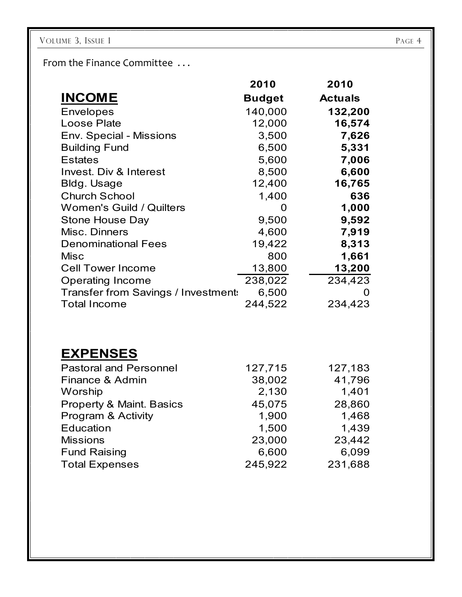From the Finance Committee . . .

|                                     | 2010              | 2010           |
|-------------------------------------|-------------------|----------------|
| <b>INCOME</b>                       | <b>Budget</b>     | <b>Actuals</b> |
| <b>Envelopes</b>                    | 140,000           | 132,200        |
| Loose Plate                         | 12,000            | 16,574         |
| Env. Special - Missions             | 3,500             | 7,626          |
| <b>Building Fund</b>                | 6,500             | 5,331          |
| <b>Estates</b>                      | 5,600             | 7,006          |
| <b>Invest. Div &amp; Interest</b>   | 8,500             | 6,600          |
| Bldg. Usage                         | 12,400            | 16,765         |
| <b>Church School</b>                | 1,400             | 636            |
| <b>Women's Guild / Quilters</b>     | $\mathbf{\Omega}$ | 1,000          |
| <b>Stone House Day</b>              | 9,500             | 9,592          |
| Misc. Dinners                       | 4,600             | 7,919          |
| <b>Denominational Fees</b>          | 19,422            | 8,313          |
| <b>Misc</b>                         | 800               | 1,661          |
| <b>Cell Tower Income</b>            | 13,800            | 13,200         |
| <b>Operating Income</b>             | 238,022           | 234,423        |
| Transfer from Savings / Investment: | 6,500             |                |
| <b>Total Income</b>                 | 244,522           | 234,423        |

# **EXPENSES**

| <b>Pastoral and Personnel</b>       | 127,715 | 127,183 |
|-------------------------------------|---------|---------|
| Finance & Admin                     | 38,002  | 41,796  |
| Worship                             | 2,130   | 1,401   |
| <b>Property &amp; Maint. Basics</b> | 45,075  | 28,860  |
| <b>Program &amp; Activity</b>       | 1,900   | 1,468   |
| Education                           | 1,500   | 1,439   |
| <b>Missions</b>                     | 23,000  | 23,442  |
| <b>Fund Raising</b>                 | 6,600   | 6,099   |
| <b>Total Expenses</b>               | 245,922 | 231,688 |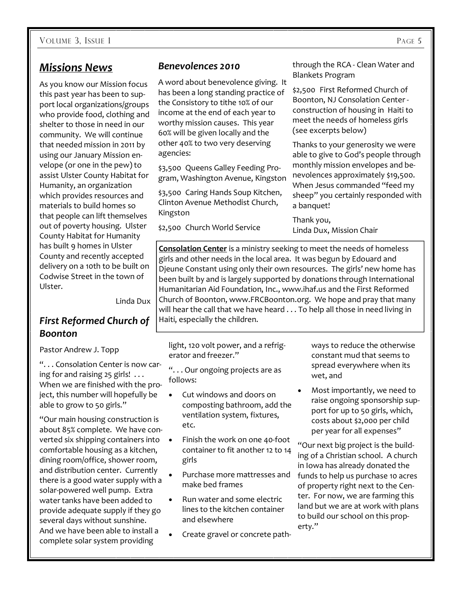# *Missions News*

As you know our Mission focus this past year has been to support local organizations/groups who provide food, clothing and shelter to those in need in our community. We will continue that needed mission in 2011 by using our January Mission envelope (or one in the pew) to assist Ulster County Habitat for Humanity, an organization which provides resources and materials to build homes so that people can lift themselves out of poverty housing. Ulster County Habitat for Humanity has built 9 homes in Ulster County and recently accepted delivery on a 10th to be built on Codwise Street in the town of Ulster.

Linda Dux

# *First Reformed Church of Boonton*

#### Pastor Andrew J. Topp

". . . Consolation Center is now caring for and raising 25 girls! . . . When we are finished with the project, this number will hopefully be able to grow to 50 girls."

"Our main housing construction is about 85% complete. We have converted six shipping containers into  $\bullet$ comfortable housing as a kitchen, dining room/office, shower room, and distribution center. Currently there is a good water supply with a solar-powered well pump. Extra water tanks have been added to provide adequate supply if they go several days without sunshine. And we have been able to install a complete solar system providing

## *Benevolences 2010*

A word about benevolence giving. It has been a long standing practice of the Consistory to tithe 10% of our income at the end of each year to worthy mission causes. This year 60% will be given locally and the other 40% to two very deserving agencies:

\$3,500 Queens Galley Feeding Program, Washington Avenue, Kingston

\$3,500 Caring Hands Soup Kitchen, Clinton Avenue Methodist Church, Kingston

\$2,500 Church World Service

through the RCA - Clean Water and Blankets Program

\$2,500 First Reformed Church of Boonton, NJ Consolation Center construction of housing in Haiti to meet the needs of homeless girls (see excerpts below)

Thanks to your generosity we were able to give to God's people through monthly mission envelopes and benevolences approximately \$19,500. When Jesus commanded "feed my sheep" you certainly responded with a banquet!

Thank you, Linda Dux, Mission Chair

**Consolation Center** is a ministry seeking to meet the needs of homeless girls and other needs in the local area. It was begun by Edouard and Djeune Constant using only their own resources. The girls' new home has been built by and is largely supported by donations through International Humanitarian Aid Foundation, Inc., www.ihaf.us and the First Reformed Church of Boonton, www.FRCBoonton.org. We hope and pray that many will hear the call that we have heard . . . To help all those in need living in Haiti, especially the children.

light, 120 volt power, and a refrigerator and freezer."

". . . Our ongoing projects are as follows:

- Cut windows and doors on composting bathroom, add the ventilation system, fixtures, etc.
- Finish the work on one 40-foot container to fit another 12 to 14 girls
- Purchase more mattresses and make bed frames
- Run water and some electric lines to the kitchen container and elsewhere
- Create gravel or concrete path-

ways to reduce the otherwise constant mud that seems to spread everywhere when its wet, and

• Most importantly, we need to raise ongoing sponsorship support for up to 50 girls, which, costs about \$2,000 per child per year for all expenses"

"Our next big project is the building of a Christian school. A church in Iowa has already donated the funds to help us purchase 10 acres of property right next to the Center. For now, we are farming this land but we are at work with plans to build our school on this property."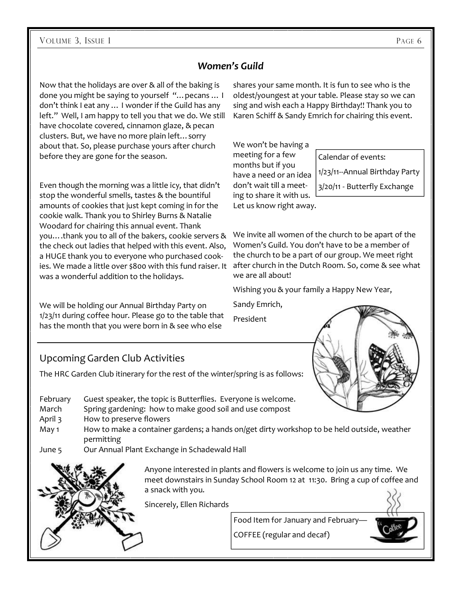# *Women's Guild*

Now that the holidays are over & all of the baking is done you might be saying to yourself "…pecans … I don't think I eat any … I wonder if the Guild has any left." Well, I am happy to tell you that we do. We still have chocolate covered, cinnamon glaze, & pecan clusters. But, we have no more plain left…sorry about that. So, please purchase yours after church before they are gone for the season.

Even though the morning was a little icy, that didn't stop the wonderful smells, tastes & the bountiful amounts of cookies that just kept coming in for the cookie walk. Thank you to Shirley Burns & Natalie Woodard for chairing this annual event. Thank you….thank you to all of the bakers, cookie servers & the check out ladies that helped with this event. Also, a HUGE thank you to everyone who purchased cookies. We made a little over \$800 with this fund raiser. It was a wonderful addition to the holidays.

We will be holding our Annual Birthday Party on 1/23/11 during coffee hour. Please go to the table that has the month that you were born in & see who else

shares your same month. It is fun to see who is the oldest/youngest at your table. Please stay so we can sing and wish each a Happy Birthday!! Thank you to Karen Schiff & Sandy Emrich for chairing this event.

We won't be having a meeting for a few months but if you have a need or an idea don't wait till a meeting to share it with us. Let us know right away.

Calendar of events: 1/23/11--Annual Birthday Party 3/20/11 - Butterfly Exchange

We invite all women of the church to be apart of the Women's Guild. You don't have to be a member of the church to be a part of our group. We meet right after church in the Dutch Room. So, come & see what we are all about!

Wishing you & your family a Happy New Year,

Sandy Emrich,

President

# Upcoming Garden Club Activities

The HRC Garden Club itinerary for the rest of the winter/spring is as follows:

- February Guest speaker, the topic is Butterflies. Everyone is welcome.
- March Spring gardening: how to make good soil and use compost
- April 3 How to preserve flowers
- May 1 How to make a container gardens; a hands on/get dirty workshop to be held outside, weather permitting
- June 5 Our Annual Plant Exchange in Schadewald Hall



Anyone interested in plants and flowers is welcome to join us any time. We meet downstairs in Sunday School Room 12 at 11:30. Bring a cup of coffee and a snack with you.

COFFEE (regular and decaf)

Sincerely, Ellen Richards

Food Item for January and February—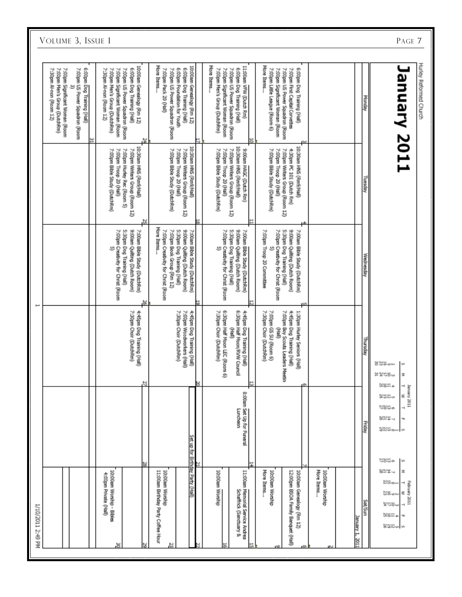| I/10/2011 2:49 PM                                                                                                                                                                                |                                                                                                |                                                                                                             |                                                                                          |                                                                                                                 |                   |
|--------------------------------------------------------------------------------------------------------------------------------------------------------------------------------------------------|------------------------------------------------------------------------------------------------|-------------------------------------------------------------------------------------------------------------|------------------------------------------------------------------------------------------|-----------------------------------------------------------------------------------------------------------------|-------------------|
|                                                                                                                                                                                                  |                                                                                                |                                                                                                             |                                                                                          | 7:00pm Significant Woman (Room<br>7:00pm Men's Group (DutchRm)<br>7:30pm Al-non (Room 12)                       | VOLUME 3, ISSUE 1 |
|                                                                                                                                                                                                  |                                                                                                |                                                                                                             |                                                                                          | 6:00pm Dog Training (Hall)<br>7:00pm US Power Squadron (Room                                                    |                   |
|                                                                                                                                                                                                  |                                                                                                |                                                                                                             |                                                                                          |                                                                                                                 |                   |
| 10:00am Worship - Bibles<br>4:00pm Private (HsII)<br>뵹                                                                                                                                           |                                                                                                | 7:00pm Creativity for Christ (Room                                                                          | 7:00pm Troop 20 (Hall)<br>7:00pm Bible Study (DutchRm)                                   | 7:00pm Significant Woman (Room<br>7:30pm Al-non (Room 12)<br>7:00pm Men's Group (DutchRm)                       |                   |
|                                                                                                                                                                                                  | 4:45pm Dog Training (Hall)<br>7:30pm Choir (DutchRm)                                           | 9:00am Quitting (Dutch Room)<br>7:00am Bible Study (DutchRm)<br>5:30pm Dog Training (Hall)                  | (IsH/RmS (Rm9/Hall)<br>7:00pm Hurley Rec (Room 5)<br>7:00pm Writers Group (Room 12)      | 10:00am Genealogy (Rm 12)<br>6:00pm Dog Training (Hall)<br>7:00pm US Power Squadron (Room                       |                   |
|                                                                                                                                                                                                  | N                                                                                              | ю,                                                                                                          | М,                                                                                       | 콓                                                                                                               |                   |
| 11:00am Birthday Party Coffee Hour<br>10:00am Worship<br>N                                                                                                                                       | 7:30pm Choir (DutchRm)                                                                         | More Items<br>7:00pm Creativity for Christ (Room<br>7:00pm Book Group (Rm 12)<br>5:30pm Dog Training (Hall) | 7:00pm Troop 20 (Hall)<br>7:00pm Bible Study (DutchRm)                                   | More Items<br>7:00pm Pack 20 (Hall)<br>7:00pm US Power Squadron (Room                                           |                   |
| Set up for Birthday Party (Hall)                                                                                                                                                                 | 7:00pm Woodworkers (Hall)<br>4:45pm Dog Training (Hall)                                        | 9:00am Quitting (Dutch Room)<br>7:00am Bible Study (DutchRm)                                                | 10:30am HNS (Rm9/Hall)<br>7:00pm Writers Group (Room 12)                                 | 10:00am Genealogy (Rm 12)<br>6:00pm Dog Training (Hall)<br>6:00pm Foundation for Youth                          |                   |
| N                                                                                                                                                                                                |                                                                                                |                                                                                                             |                                                                                          |                                                                                                                 |                   |
| 10:00am Worship                                                                                                                                                                                  | 6:30pm Half Moon LEC (Room 6)<br>7:30pm Choir (DutchRm)<br>ÎБ)                                 | 5:30pm Dog Training (Hall)<br>7:00pm Creativity for Christ (Room<br>y                                       | 7:00pm Troop 20 (Hall)<br>7:00pm Writers Group (Room 12)<br>7:00pm Bible Study (DutchRm) | More Ittems<br>7:00pm Significant Woman (Room<br>7:00pm US Power Squadron (Room<br>7:00pm Men's Group (DutchRm) |                   |
| 8:00am Set Up for Funeral<br>Luncheon<br>11:00am Memorial Service Andrea<br>Schaffrick (Sanctuary &                                                                                              | 4:45pm Dog Training (Hall)<br>6:30pm Half Moon/RVW Council                                     | 9:00am Quitting (Dutch Room)<br>7:00am Bible Study (DutchRm)                                                | 10:30am HNS (Rm9/Hall)<br>9:00am HAGC (Dutch Rm)                                         | 11:00am VPW (Dutch Rm)<br>6:00pm Dog Training (Hall)                                                            |                   |
| More Items<br>10:00am Worship                                                                                                                                                                    | 7:00pm GS 5U (Room 6)<br>7:30pm Choir (DutchRm)<br>Î                                           | 7:00pm Troop 20 Committee<br>7:00pm Creativity for Christ (Room                                             | 7:00pm Bible Study (DutchRm)<br>7:00pm Troop 20 (Hall)                                   | More Items<br>7:00pm Little League (Room 6)<br>7:00pm Significant Woman (Room                                   |                   |
| 10:00am Genealogy (Rm 12)<br>12:00pm BSOA Family Banquet (Hall)                                                                                                                                  | 1:30pm Hurley Seniors (Hall)<br>7:00pm Boy Scouts Leaders Meetin<br>4:45pm Dog Training (Hall) | 9:00am Quitting (Dutch Room)<br>7:00am Bible Study (DutchRm)<br>5:30pm Dog Training (Hall)                  | (IsH/RmS) SMH mp00:01<br>4:30pm PC 101 (Dutch Rm)<br>7:00pm Writers Group (Room 12)      | 6:00pm Dog Training (Hall)<br>7:00pm First Capital Corvettes<br>7:00pm US Power Squadron (Room                  |                   |
| More Items<br>10:00am Worship                                                                                                                                                                    |                                                                                                |                                                                                                             |                                                                                          |                                                                                                                 |                   |
|                                                                                                                                                                                                  |                                                                                                |                                                                                                             |                                                                                          |                                                                                                                 |                   |
| anuary 1, 2011                                                                                                                                                                                   |                                                                                                |                                                                                                             |                                                                                          |                                                                                                                 |                   |
| Friday<br>ung/aeg                                                                                                                                                                                | lepsiny                                                                                        | Wednesday                                                                                                   | Iuesauly                                                                                 | Monday                                                                                                          |                   |
| TEOZ AJEniar<br>8.EEu<br>٤<br>೮೫ಜ∞<br>852 J<br>T<br>상상ti<br>승장 tri co++<br>M)<br>NSGo.<br><b>M</b><br>825.<br>z<br>Nthe⊶<br>February 2011<br>⊣<br>ಜಿಕ್ಕು<br>٤<br>k≒≌∾<br>¤≋¤<br>m<br>bitatiun un | 봄찮았다~<br><b>un</b><br><b>MÄLR"</b><br>z<br>tisti a                                             |                                                                                                             |                                                                                          | Hurley Reformed Church<br>anuary 2011                                                                           | PAGE 7            |
|                                                                                                                                                                                                  |                                                                                                |                                                                                                             |                                                                                          |                                                                                                                 |                   |